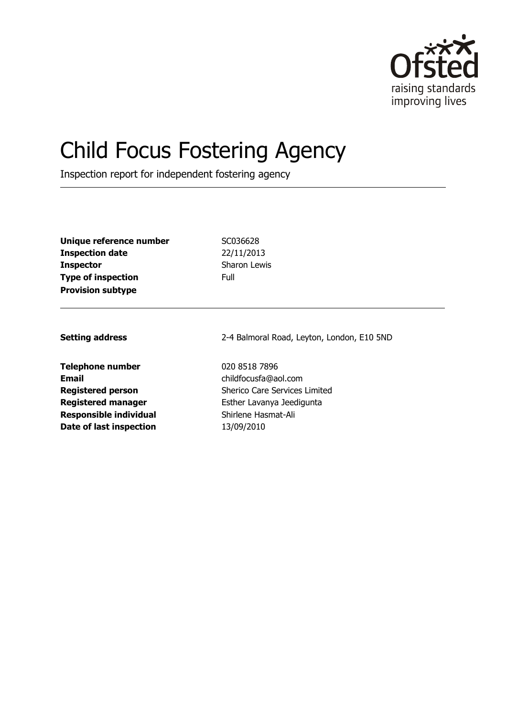

# Child Focus Fostering Agency

Inspection report for independent fostering agency

| Unique reference number   | SC(  |
|---------------------------|------|
| <b>Inspection date</b>    | 22/  |
| <b>Inspector</b>          | Sha  |
| <b>Type of inspection</b> | Full |
| <b>Provision subtype</b>  |      |

**Unique reference number** SC036628 **Inspection date** 22/11/2013 **Sharon Lewis** 

**Setting address** 2-4 Balmoral Road, Leyton, London, E10 5ND

**Telephone number** 020 8518 7896 **Email** childfocusfa@aol.com **Responsible individual** Shirlene Hasmat-Ali **Date of last inspection** 13/09/2010

**Registered person** Sherico Care Services Limited **Registered manager Esther Lavanya Jeedigunta**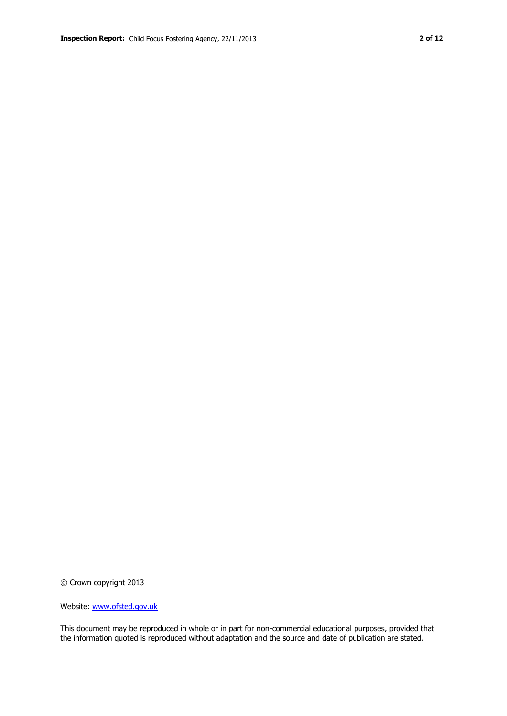© Crown copyright 2013

Website: www.ofsted.gov.uk

This document may be reproduced in whole or in part for non-commercial educational purposes, provided that the information quoted is reproduced without adaptation and the source and date of publication are stated.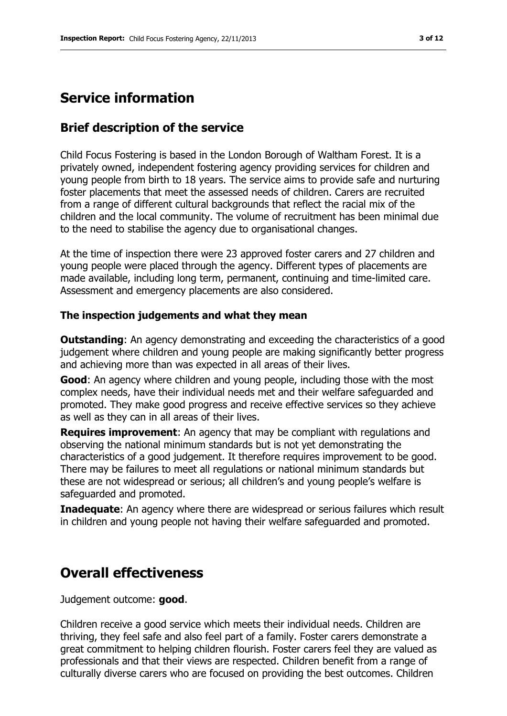# **Service information**

## **Brief description of the service**

Child Focus Fostering is based in the London Borough of Waltham Forest. It is a privately owned, independent fostering agency providing services for children and young people from birth to 18 years. The service aims to provide safe and nurturing foster placements that meet the assessed needs of children. Carers are recruited from a range of different cultural backgrounds that reflect the racial mix of the children and the local community. The volume of recruitment has been minimal due to the need to stabilise the agency due to organisational changes.

At the time of inspection there were 23 approved foster carers and 27 children and young people were placed through the agency. Different types of placements are made available, including long term, permanent, continuing and time-limited care. Assessment and emergency placements are also considered.

#### **The inspection judgements and what they mean**

**Outstanding:** An agency demonstrating and exceeding the characteristics of a good judgement where children and young people are making significantly better progress and achieving more than was expected in all areas of their lives.

**Good**: An agency where children and young people, including those with the most complex needs, have their individual needs met and their welfare safeguarded and promoted. They make good progress and receive effective services so they achieve as well as they can in all areas of their lives.

**Requires improvement**: An agency that may be compliant with regulations and observing the national minimum standards but is not yet demonstrating the characteristics of a good judgement. It therefore requires improvement to be good. There may be failures to meet all regulations or national minimum standards but these are not widespread or serious; all children's and young people's welfare is safeguarded and promoted.

**Inadequate:** An agency where there are widespread or serious failures which result in children and young people not having their welfare safeguarded and promoted.

# **Overall effectiveness**

Judgement outcome: **good**.

Children receive a good service which meets their individual needs. Children are thriving, they feel safe and also feel part of a family. Foster carers demonstrate a great commitment to helping children flourish. Foster carers feel they are valued as professionals and that their views are respected. Children benefit from a range of culturally diverse carers who are focused on providing the best outcomes. Children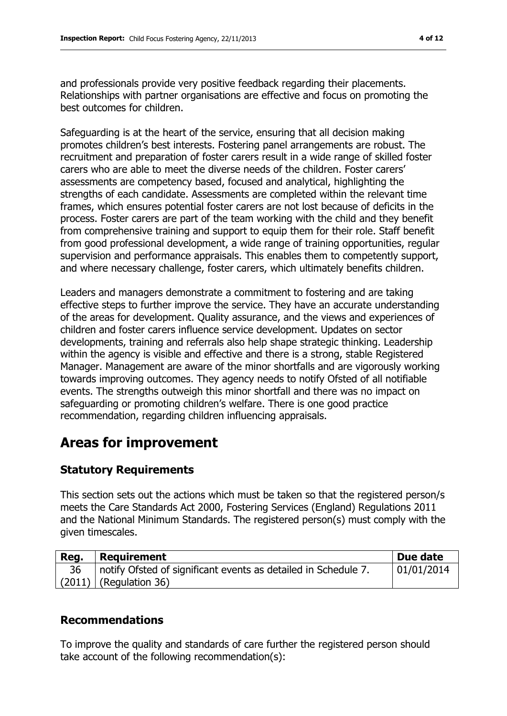and professionals provide very positive feedback regarding their placements. Relationships with partner organisations are effective and focus on promoting the best outcomes for children.

Safeguarding is at the heart of the service, ensuring that all decision making promotes children's best interests. Fostering panel arrangements are robust. The recruitment and preparation of foster carers result in a wide range of skilled foster carers who are able to meet the diverse needs of the children. Foster carers' assessments are competency based, focused and analytical, highlighting the strengths of each candidate. Assessments are completed within the relevant time frames, which ensures potential foster carers are not lost because of deficits in the process. Foster carers are part of the team working with the child and they benefit from comprehensive training and support to equip them for their role. Staff benefit from good professional development, a wide range of training opportunities, regular supervision and performance appraisals. This enables them to competently support, and where necessary challenge, foster carers, which ultimately benefits children.

Leaders and managers demonstrate a commitment to fostering and are taking effective steps to further improve the service. They have an accurate understanding of the areas for development. Quality assurance, and the views and experiences of children and foster carers influence service development. Updates on sector developments, training and referrals also help shape strategic thinking. Leadership within the agency is visible and effective and there is a strong, stable Registered Manager. Management are aware of the minor shortfalls and are vigorously working towards improving outcomes. They agency needs to notify Ofsted of all notifiable events. The strengths outweigh this minor shortfall and there was no impact on safeguarding or promoting children's welfare. There is one good practice recommendation, regarding children influencing appraisals.

# **Areas for improvement**

## **Statutory Requirements**

This section sets out the actions which must be taken so that the registered person/s meets the Care Standards Act 2000, Fostering Services (England) Regulations 2011 and the National Minimum Standards. The registered person(s) must comply with the given timescales.

| Reg. | <b>Requirement</b>                                             | Due date    |
|------|----------------------------------------------------------------|-------------|
| 36   | notify Ofsted of significant events as detailed in Schedule 7. | 101/01/2014 |
|      | $(2011)$ (Regulation 36)                                       |             |

## **Recommendations**

To improve the quality and standards of care further the registered person should take account of the following recommendation(s):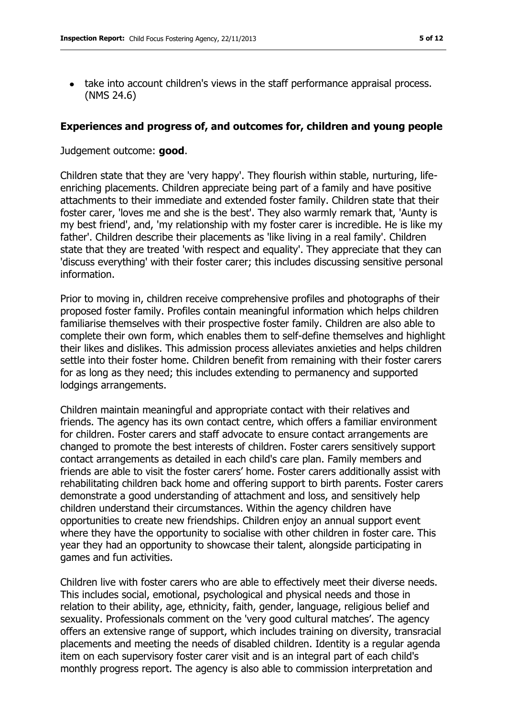• take into account children's views in the staff performance appraisal process. (NMS 24.6)

#### **Experiences and progress of, and outcomes for, children and young people**

Judgement outcome: **good**.

Children state that they are 'very happy'. They flourish within stable, nurturing, lifeenriching placements. Children appreciate being part of a family and have positive attachments to their immediate and extended foster family. Children state that their foster carer, 'loves me and she is the best'. They also warmly remark that, 'Aunty is my best friend', and, 'my relationship with my foster carer is incredible. He is like my father'. Children describe their placements as 'like living in a real family'. Children state that they are treated 'with respect and equality'. They appreciate that they can 'discuss everything' with their foster carer; this includes discussing sensitive personal information.

Prior to moving in, children receive comprehensive profiles and photographs of their proposed foster family. Profiles contain meaningful information which helps children familiarise themselves with their prospective foster family. Children are also able to complete their own form, which enables them to self-define themselves and highlight their likes and dislikes. This admission process alleviates anxieties and helps children settle into their foster home. Children benefit from remaining with their foster carers for as long as they need; this includes extending to permanency and supported lodgings arrangements.

Children maintain meaningful and appropriate contact with their relatives and friends. The agency has its own contact centre, which offers a familiar environment for children. Foster carers and staff advocate to ensure contact arrangements are changed to promote the best interests of children. Foster carers sensitively support contact arrangements as detailed in each child's care plan. Family members and friends are able to visit the foster carers' home. Foster carers additionally assist with rehabilitating children back home and offering support to birth parents. Foster carers demonstrate a good understanding of attachment and loss, and sensitively help children understand their circumstances. Within the agency children have opportunities to create new friendships. Children enjoy an annual support event where they have the opportunity to socialise with other children in foster care. This year they had an opportunity to showcase their talent, alongside participating in games and fun activities.

Children live with foster carers who are able to effectively meet their diverse needs. This includes social, emotional, psychological and physical needs and those in relation to their ability, age, ethnicity, faith, gender, language, religious belief and sexuality. Professionals comment on the 'very good cultural matches'. The agency offers an extensive range of support, which includes training on diversity, transracial placements and meeting the needs of disabled children. Identity is a regular agenda item on each supervisory foster carer visit and is an integral part of each child's monthly progress report. The agency is also able to commission interpretation and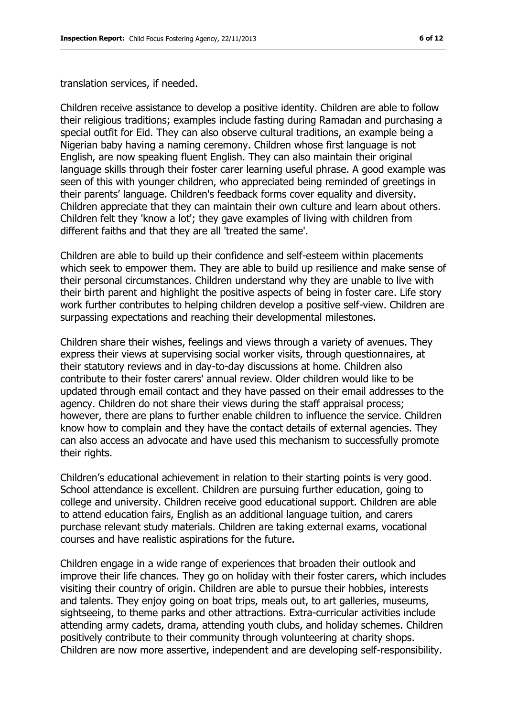translation services, if needed.

Children receive assistance to develop a positive identity. Children are able to follow their religious traditions; examples include fasting during Ramadan and purchasing a special outfit for Eid. They can also observe cultural traditions, an example being a Nigerian baby having a naming ceremony. Children whose first language is not English, are now speaking fluent English. They can also maintain their original language skills through their foster carer learning useful phrase. A good example was seen of this with younger children, who appreciated being reminded of greetings in their parents' language. Children's feedback forms cover equality and diversity. Children appreciate that they can maintain their own culture and learn about others. Children felt they 'know a lot'; they gave examples of living with children from different faiths and that they are all 'treated the same'.

Children are able to build up their confidence and self-esteem within placements which seek to empower them. They are able to build up resilience and make sense of their personal circumstances. Children understand why they are unable to live with their birth parent and highlight the positive aspects of being in foster care. Life story work further contributes to helping children develop a positive self-view. Children are surpassing expectations and reaching their developmental milestones.

Children share their wishes, feelings and views through a variety of avenues. They express their views at supervising social worker visits, through questionnaires, at their statutory reviews and in day-to-day discussions at home. Children also contribute to their foster carers' annual review. Older children would like to be updated through email contact and they have passed on their email addresses to the agency. Children do not share their views during the staff appraisal process; however, there are plans to further enable children to influence the service. Children know how to complain and they have the contact details of external agencies. They can also access an advocate and have used this mechanism to successfully promote their rights.

Children's educational achievement in relation to their starting points is very good. School attendance is excellent. Children are pursuing further education, going to college and university. Children receive good educational support. Children are able to attend education fairs, English as an additional language tuition, and carers purchase relevant study materials. Children are taking external exams, vocational courses and have realistic aspirations for the future.

Children engage in a wide range of experiences that broaden their outlook and improve their life chances. They go on holiday with their foster carers, which includes visiting their country of origin. Children are able to pursue their hobbies, interests and talents. They enjoy going on boat trips, meals out, to art galleries, museums, sightseeing, to theme parks and other attractions. Extra-curricular activities include attending army cadets, drama, attending youth clubs, and holiday schemes. Children positively contribute to their community through volunteering at charity shops. Children are now more assertive, independent and are developing self-responsibility.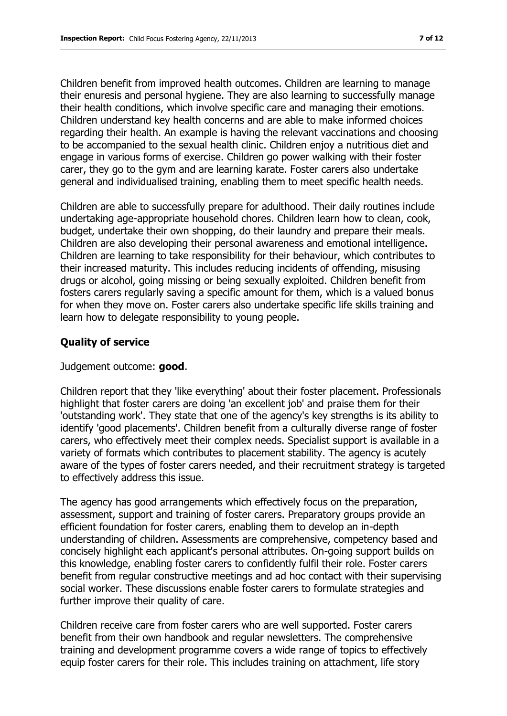Children benefit from improved health outcomes. Children are learning to manage their enuresis and personal hygiene. They are also learning to successfully manage their health conditions, which involve specific care and managing their emotions. Children understand key health concerns and are able to make informed choices regarding their health. An example is having the relevant vaccinations and choosing to be accompanied to the sexual health clinic. Children enjoy a nutritious diet and engage in various forms of exercise. Children go power walking with their foster carer, they go to the gym and are learning karate. Foster carers also undertake general and individualised training, enabling them to meet specific health needs.

Children are able to successfully prepare for adulthood. Their daily routines include undertaking age-appropriate household chores. Children learn how to clean, cook, budget, undertake their own shopping, do their laundry and prepare their meals. Children are also developing their personal awareness and emotional intelligence. Children are learning to take responsibility for their behaviour, which contributes to their increased maturity. This includes reducing incidents of offending, misusing drugs or alcohol, going missing or being sexually exploited. Children benefit from fosters carers regularly saving a specific amount for them, which is a valued bonus for when they move on. Foster carers also undertake specific life skills training and learn how to delegate responsibility to young people.

## **Quality of service**

#### Judgement outcome: **good**.

Children report that they 'like everything' about their foster placement. Professionals highlight that foster carers are doing 'an excellent job' and praise them for their 'outstanding work'. They state that one of the agency's key strengths is its ability to identify 'good placements'. Children benefit from a culturally diverse range of foster carers, who effectively meet their complex needs. Specialist support is available in a variety of formats which contributes to placement stability. The agency is acutely aware of the types of foster carers needed, and their recruitment strategy is targeted to effectively address this issue.

The agency has good arrangements which effectively focus on the preparation, assessment, support and training of foster carers. Preparatory groups provide an efficient foundation for foster carers, enabling them to develop an in-depth understanding of children. Assessments are comprehensive, competency based and concisely highlight each applicant's personal attributes. On-going support builds on this knowledge, enabling foster carers to confidently fulfil their role. Foster carers benefit from regular constructive meetings and ad hoc contact with their supervising social worker. These discussions enable foster carers to formulate strategies and further improve their quality of care.

Children receive care from foster carers who are well supported. Foster carers benefit from their own handbook and regular newsletters. The comprehensive training and development programme covers a wide range of topics to effectively equip foster carers for their role. This includes training on attachment, life story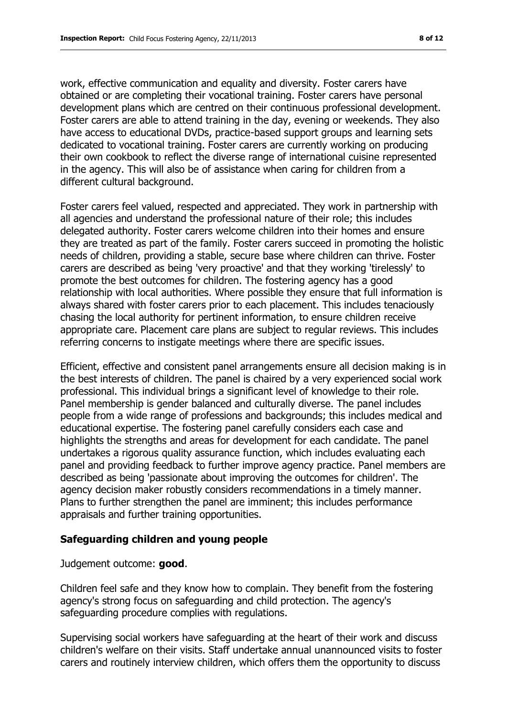work, effective communication and equality and diversity. Foster carers have obtained or are completing their vocational training. Foster carers have personal development plans which are centred on their continuous professional development. Foster carers are able to attend training in the day, evening or weekends. They also have access to educational DVDs, practice-based support groups and learning sets dedicated to vocational training. Foster carers are currently working on producing their own cookbook to reflect the diverse range of international cuisine represented in the agency. This will also be of assistance when caring for children from a different cultural background.

Foster carers feel valued, respected and appreciated. They work in partnership with all agencies and understand the professional nature of their role; this includes delegated authority. Foster carers welcome children into their homes and ensure they are treated as part of the family. Foster carers succeed in promoting the holistic needs of children, providing a stable, secure base where children can thrive. Foster carers are described as being 'very proactive' and that they working 'tirelessly' to promote the best outcomes for children. The fostering agency has a good relationship with local authorities. Where possible they ensure that full information is always shared with foster carers prior to each placement. This includes tenaciously chasing the local authority for pertinent information, to ensure children receive appropriate care. Placement care plans are subject to regular reviews. This includes referring concerns to instigate meetings where there are specific issues.

Efficient, effective and consistent panel arrangements ensure all decision making is in the best interests of children. The panel is chaired by a very experienced social work professional. This individual brings a significant level of knowledge to their role. Panel membership is gender balanced and culturally diverse. The panel includes people from a wide range of professions and backgrounds; this includes medical and educational expertise. The fostering panel carefully considers each case and highlights the strengths and areas for development for each candidate. The panel undertakes a rigorous quality assurance function, which includes evaluating each panel and providing feedback to further improve agency practice. Panel members are described as being 'passionate about improving the outcomes for children'. The agency decision maker robustly considers recommendations in a timely manner. Plans to further strengthen the panel are imminent; this includes performance appraisals and further training opportunities.

#### **Safeguarding children and young people**

Judgement outcome: **good**.

Children feel safe and they know how to complain. They benefit from the fostering agency's strong focus on safeguarding and child protection. The agency's safeguarding procedure complies with regulations.

Supervising social workers have safeguarding at the heart of their work and discuss children's welfare on their visits. Staff undertake annual unannounced visits to foster carers and routinely interview children, which offers them the opportunity to discuss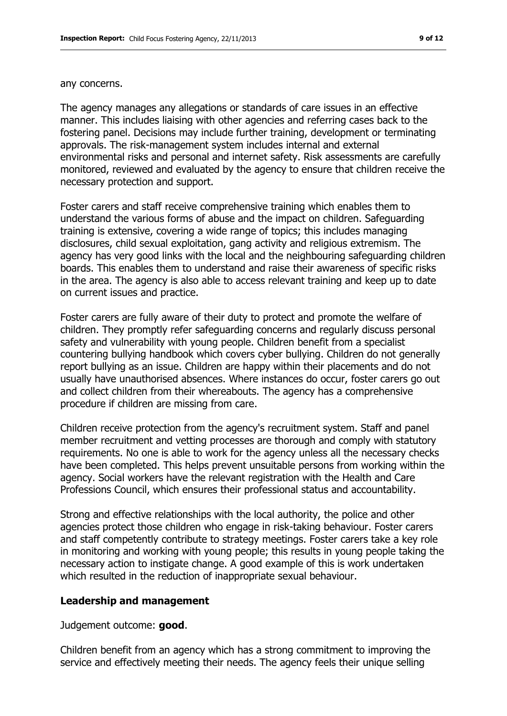#### any concerns.

The agency manages any allegations or standards of care issues in an effective manner. This includes liaising with other agencies and referring cases back to the fostering panel. Decisions may include further training, development or terminating approvals. The risk-management system includes internal and external environmental risks and personal and internet safety. Risk assessments are carefully monitored, reviewed and evaluated by the agency to ensure that children receive the necessary protection and support.

Foster carers and staff receive comprehensive training which enables them to understand the various forms of abuse and the impact on children. Safeguarding training is extensive, covering a wide range of topics; this includes managing disclosures, child sexual exploitation, gang activity and religious extremism. The agency has very good links with the local and the neighbouring safeguarding children boards. This enables them to understand and raise their awareness of specific risks in the area. The agency is also able to access relevant training and keep up to date on current issues and practice.

Foster carers are fully aware of their duty to protect and promote the welfare of children. They promptly refer safeguarding concerns and regularly discuss personal safety and vulnerability with young people. Children benefit from a specialist countering bullying handbook which covers cyber bullying. Children do not generally report bullying as an issue. Children are happy within their placements and do not usually have unauthorised absences. Where instances do occur, foster carers go out and collect children from their whereabouts. The agency has a comprehensive procedure if children are missing from care.

Children receive protection from the agency's recruitment system. Staff and panel member recruitment and vetting processes are thorough and comply with statutory requirements. No one is able to work for the agency unless all the necessary checks have been completed. This helps prevent unsuitable persons from working within the agency. Social workers have the relevant registration with the Health and Care Professions Council, which ensures their professional status and accountability.

Strong and effective relationships with the local authority, the police and other agencies protect those children who engage in risk-taking behaviour. Foster carers and staff competently contribute to strategy meetings. Foster carers take a key role in monitoring and working with young people; this results in young people taking the necessary action to instigate change. A good example of this is work undertaken which resulted in the reduction of inappropriate sexual behaviour.

#### **Leadership and management**

Judgement outcome: **good**.

Children benefit from an agency which has a strong commitment to improving the service and effectively meeting their needs. The agency feels their unique selling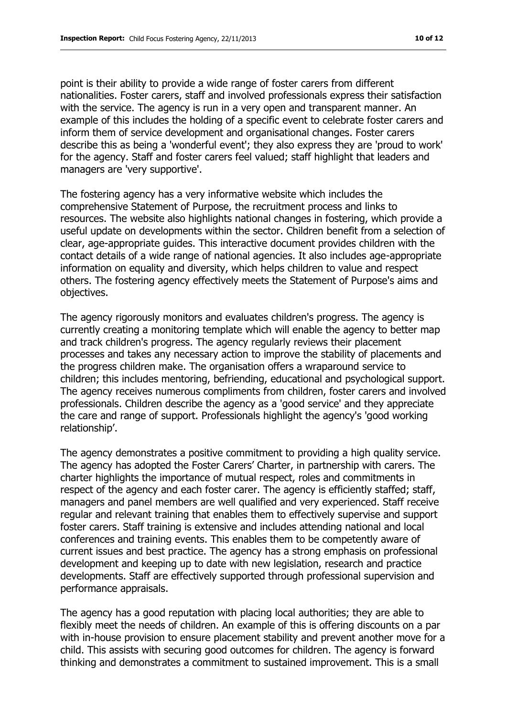point is their ability to provide a wide range of foster carers from different nationalities. Foster carers, staff and involved professionals express their satisfaction with the service. The agency is run in a very open and transparent manner. An example of this includes the holding of a specific event to celebrate foster carers and inform them of service development and organisational changes. Foster carers describe this as being a 'wonderful event'; they also express they are 'proud to work' for the agency. Staff and foster carers feel valued; staff highlight that leaders and managers are 'very supportive'.

The fostering agency has a very informative website which includes the comprehensive Statement of Purpose, the recruitment process and links to resources. The website also highlights national changes in fostering, which provide a useful update on developments within the sector. Children benefit from a selection of clear, age-appropriate guides. This interactive document provides children with the contact details of a wide range of national agencies. It also includes age-appropriate information on equality and diversity, which helps children to value and respect others. The fostering agency effectively meets the Statement of Purpose's aims and objectives.

The agency rigorously monitors and evaluates children's progress. The agency is currently creating a monitoring template which will enable the agency to better map and track children's progress. The agency regularly reviews their placement processes and takes any necessary action to improve the stability of placements and the progress children make. The organisation offers a wraparound service to children; this includes mentoring, befriending, educational and psychological support. The agency receives numerous compliments from children, foster carers and involved professionals. Children describe the agency as a 'good service' and they appreciate the care and range of support. Professionals highlight the agency's 'good working relationship'.

The agency demonstrates a positive commitment to providing a high quality service. The agency has adopted the Foster Carers' Charter, in partnership with carers. The charter highlights the importance of mutual respect, roles and commitments in respect of the agency and each foster carer. The agency is efficiently staffed; staff, managers and panel members are well qualified and very experienced. Staff receive regular and relevant training that enables them to effectively supervise and support foster carers. Staff training is extensive and includes attending national and local conferences and training events. This enables them to be competently aware of current issues and best practice. The agency has a strong emphasis on professional development and keeping up to date with new legislation, research and practice developments. Staff are effectively supported through professional supervision and performance appraisals.

The agency has a good reputation with placing local authorities; they are able to flexibly meet the needs of children. An example of this is offering discounts on a par with in-house provision to ensure placement stability and prevent another move for a child. This assists with securing good outcomes for children. The agency is forward thinking and demonstrates a commitment to sustained improvement. This is a small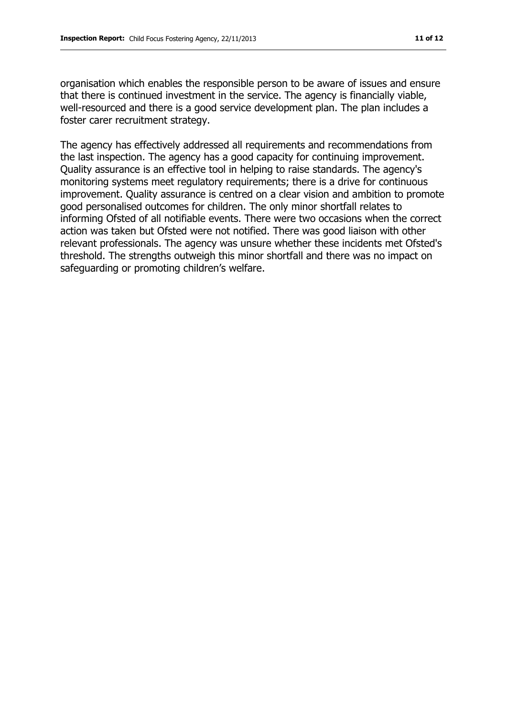organisation which enables the responsible person to be aware of issues and ensure that there is continued investment in the service. The agency is financially viable, well-resourced and there is a good service development plan. The plan includes a foster carer recruitment strategy.

The agency has effectively addressed all requirements and recommendations from the last inspection. The agency has a good capacity for continuing improvement. Quality assurance is an effective tool in helping to raise standards. The agency's monitoring systems meet regulatory requirements; there is a drive for continuous improvement. Quality assurance is centred on a clear vision and ambition to promote good personalised outcomes for children. The only minor shortfall relates to informing Ofsted of all notifiable events. There were two occasions when the correct action was taken but Ofsted were not notified. There was good liaison with other relevant professionals. The agency was unsure whether these incidents met Ofsted's threshold. The strengths outweigh this minor shortfall and there was no impact on safeguarding or promoting children's welfare.